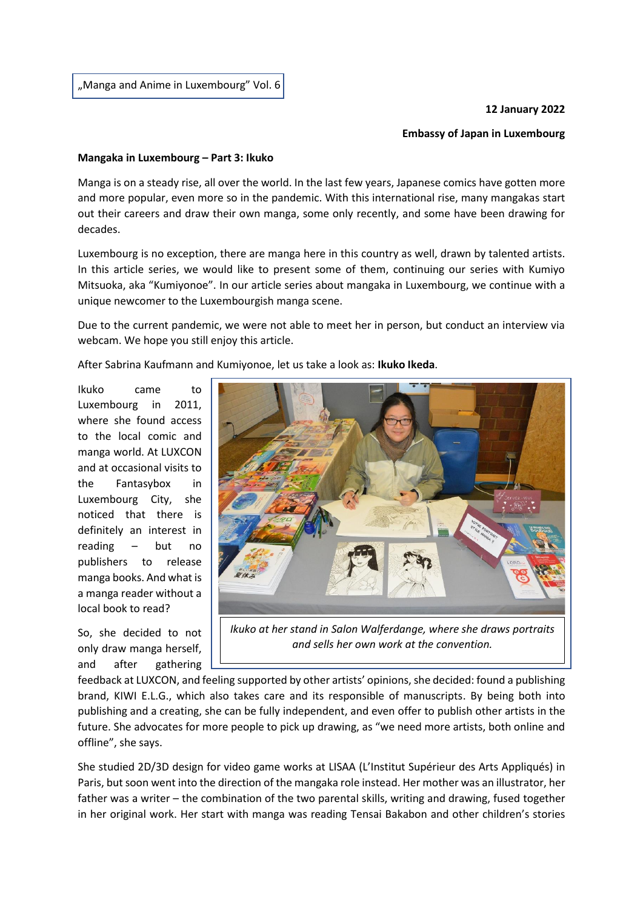"Manga and Anime in Luxembourg" Vol. 6

## **12 January 2022**

## **Embassy of Japan in Luxembourg**

## **Mangaka in Luxembourg – Part 3: Ikuko**

Manga is on a steady rise, all over the world. In the last few years, Japanese comics have gotten more and more popular, even more so in the pandemic. With this international rise, many mangakas start out their careers and draw their own manga, some only recently, and some have been drawing for decades.

Luxembourg is no exception, there are manga here in this country as well, drawn by talented artists. In this article series, we would like to present some of them, continuing our series with Kumiyo Mitsuoka, aka "Kumiyonoe". In our article series about mangaka in Luxembourg, we continue with a unique newcomer to the Luxembourgish manga scene.

Due to the current pandemic, we were not able to meet her in person, but conduct an interview via webcam. We hope you still enjoy this article.

After Sabrina Kaufmann and Kumiyonoe, let us take a look as: **Ikuko Ikeda**.

Ikuko came to Luxembourg in 2011, where she found access to the local comic and manga world. At LUXCON and at occasional visits to the Fantasybox in Luxembourg City, she noticed that there is definitely an interest in reading – but no publishers to release manga books. And what is a manga reader without a local book to read?

So, she decided to not only draw manga herself, and after gathering



*Ikuko at her stand in Salon Walferdange, where she draws portraits and sells her own work at the convention.*

feedback at LUXCON, and feeling supported by other artists' opinions, she decided: found a publishing brand, KIWI E.L.G., which also takes care and its responsible of manuscripts. By being both into publishing and a creating, she can be fully independent, and even offer to publish other artists in the future. She advocates for more people to pick up drawing, as "we need more artists, both online and offline", she says.

She studied 2D/3D design for video game works at LISAA (L'Institut Supérieur des Arts Appliqués) in Paris, but soon went into the direction of the mangaka role instead. Her mother was an illustrator, her father was a writer – the combination of the two parental skills, writing and drawing, fused together in her original work. Her start with manga was reading Tensai Bakabon and other children's stories